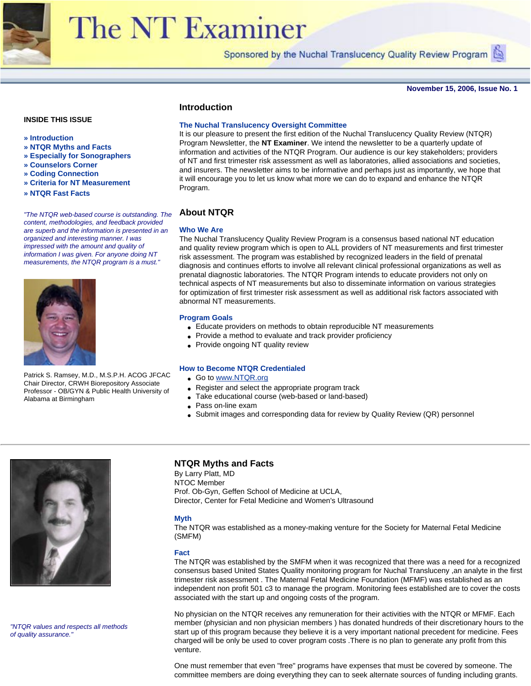

# **The NT Examiner**

Sponsored by the Nuchal Translucency Quality Review Program (

**November 15, 2006, Issue No. 1**

# **INSIDE THIS ISSUE**

- **» Introduction**
- **» NTQR Myths and Facts**
- **» Especially for Sonographers**
- **» Counselors Corner**
- **» Coding Connection**
- **» Criteria for NT Measurement**
- **» NTQR Fast Facts**

*"The NTQR web-based course is outstanding. The content, methodologies, and feedback provided are superb and the information is presented in an organized and interesting manner. I was impressed with the amount and quality of information I was given. For anyone doing NT measurements, the NTQR program is a must."*



Patrick S. Ramsey, M.D., M.S.P.H. ACOG JFCAC Chair Director, CRWH Biorepository Associate Professor - OB/GYN & Public Health University of Alabama at Birmingham

# **Introduction**

## **The Nuchal Translucency Oversight Committee**

It is our pleasure to present the first edition of the Nuchal Translucency Quality Review (NTQR) Program Newsletter, the **NT Examiner**. We intend the newsletter to be a quarterly update of information and activities of the NTQR Program. Our audience is our key stakeholders; providers of NT and first trimester risk assessment as well as laboratories, allied associations and societies, and insurers. The newsletter aims to be informative and perhaps just as importantly, we hope that it will encourage you to let us know what more we can do to expand and enhance the NTQR Program.

# **About NTQR**

#### **Who We Are**

The Nuchal Translucency Quality Review Program is a consensus based national NT education and quality review program which is open to ALL providers of NT measurements and first trimester risk assessment. The program was established by recognized leaders in the field of prenatal diagnosis and continues efforts to involve all relevant clinical professional organizations as well as prenatal diagnostic laboratories. The NTQR Program intends to educate providers not only on technical aspects of NT measurements but also to disseminate information on various strategies for optimization of first trimester risk assessment as well as additional risk factors associated with abnormal NT measurements.

#### **Program Goals**

- Educate providers on methods to obtain reproducible NT measurements
- Provide a method to evaluate and track provider proficiency
- Provide ongoing NT quality review

#### **How to Become NTQR Credentialed**

- Go to [www.NTQR.org](http://www.ntqr.org/)
- Register and select the appropriate program track
- Take educational course (web-based or land-based)
- Pass on-line exam
- Submit images and corresponding data for review by Quality Review (QR) personnel



*"NTQR values and respects all methods of quality assurance."* 

## **NTQR Myths and Facts**

By Larry Platt, MD NTOC Member Prof. Ob-Gyn, Geffen School of Medicine at UCLA, Director, Center for Fetal Medicine and Women's Ultrasound

#### **Myth**

The NTQR was established as a money-making venture for the Society for Maternal Fetal Medicine (SMFM)

#### **Fact**

The NTQR was established by the SMFM when it was recognized that there was a need for a recognized consensus based United States Quality monitoring program for Nuchal Transluceny ,an analyte in the first trimester risk assessment . The Maternal Fetal Medicine Foundation (MFMF) was established as an independent non profit 501 c3 to manage the program. Monitoring fees established are to cover the costs associated with the start up and ongoing costs of the program.

No physician on the NTQR receives any remuneration for their activities with the NTQR or MFMF. Each member (physician and non physician members ) has donated hundreds of their discretionary hours to the start up of this program because they believe it is a very important national precedent for medicine. Fees charged will be only be used to cover program costs .There is no plan to generate any profit from this venture.

One must remember that even "free" programs have expenses that must be covered by someone. The committee members are doing everything they can to seek alternate sources of funding including grants.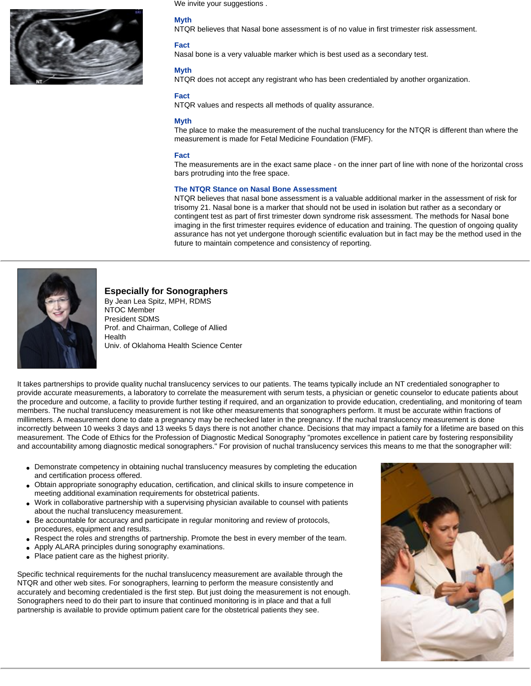

We invite your suggestions .

## **Myth**

NTQR believes that Nasal bone assessment is of no value in first trimester risk assessment.

#### **Fact**

Nasal bone is a very valuable marker which is best used as a secondary test.

### **Myth**

NTQR does not accept any registrant who has been credentialed by another organization.

#### **Fact**

NTQR values and respects all methods of quality assurance.

#### **Myth**

The place to make the measurement of the nuchal translucency for the NTQR is different than where the measurement is made for Fetal Medicine Foundation (FMF).

#### **Fact**

The measurements are in the exact same place - on the inner part of line with none of the horizontal cross bars protruding into the free space.

#### **The NTQR Stance on Nasal Bone Assessment**

NTQR believes that nasal bone assessment is a valuable additional marker in the assessment of risk for trisomy 21. Nasal bone is a marker that should not be used in isolation but rather as a secondary or contingent test as part of first trimester down syndrome risk assessment. The methods for Nasal bone imaging in the first trimester requires evidence of education and training. The question of ongoing quality assurance has not yet undergone thorough scientific evaluation but in fact may be the method used in the future to maintain competence and consistency of reporting.



# **Especially for Sonographers**

By Jean Lea Spitz, MPH, RDMS NTOC Member President SDMS Prof. and Chairman, College of Allied **Health** Univ. of Oklahoma Health Science Center

It takes partnerships to provide quality nuchal translucency services to our patients. The teams typically include an NT credentialed sonographer to provide accurate measurements, a laboratory to correlate the measurement with serum tests, a physician or genetic counselor to educate patients about the procedure and outcome, a facility to provide further testing if required, and an organization to provide education, credentialing, and monitoring of team members. The nuchal translucency measurement is not like other measurements that sonographers perform. It must be accurate within fractions of millimeters. A measurement done to date a pregnancy may be rechecked later in the pregnancy. If the nuchal translucency measurement is done incorrectly between 10 weeks 3 days and 13 weeks 5 days there is not another chance. Decisions that may impact a family for a lifetime are based on this measurement. The Code of Ethics for the Profession of Diagnostic Medical Sonography "promotes excellence in patient care by fostering responsibility and accountability among diagnostic medical sonographers." For provision of nuchal translucency services this means to me that the sonographer will:

- Demonstrate competency in obtaining nuchal translucency measures by completing the education and certification process offered.
- Obtain appropriate sonography education, certification, and clinical skills to insure competence in meeting additional examination requirements for obstetrical patients.
- Work in collaborative partnership with a supervising physician available to counsel with patients about the nuchal translucency measurement.
- Be accountable for accuracy and participate in regular monitoring and review of protocols, procedures, equipment and results.
- Respect the roles and strengths of partnership. Promote the best in every member of the team.
- Apply ALARA principles during sonography examinations.
- Place patient care as the highest priority.

Specific technical requirements for the nuchal translucency measurement are available through the NTQR and other web sites. For sonographers, learning to perform the measure consistently and accurately and becoming credentialed is the first step. But just doing the measurement is not enough. Sonographers need to do their part to insure that continued monitoring is in place and that a full partnership is available to provide optimum patient care for the obstetrical patients they see.

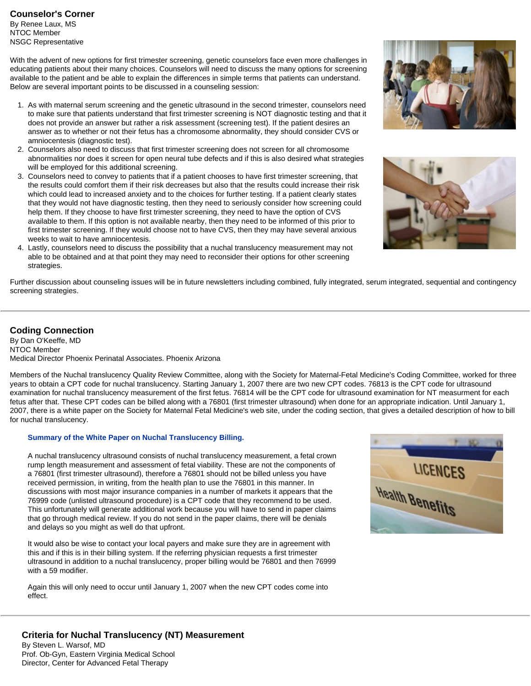By Renee Laux, MS NTOC Member NSGC Representative

With the advent of new options for first trimester screening, genetic counselors face even more challenges in educating patients about their many choices. Counselors will need to discuss the many options for screening available to the patient and be able to explain the differences in simple terms that patients can understand. Below are several important points to be discussed in a counseling session:

- 1. As with maternal serum screening and the genetic ultrasound in the second trimester, counselors need to make sure that patients understand that first trimester screening is NOT diagnostic testing and that it does not provide an answer but rather a risk assessment (screening test). If the patient desires an answer as to whether or not their fetus has a chromosome abnormality, they should consider CVS or amniocentesis (diagnostic test).
- 2. Counselors also need to discuss that first trimester screening does not screen for all chromosome abnormalities nor does it screen for open neural tube defects and if this is also desired what strategies will be employed for this additional screening.
- 3. Counselors need to convey to patients that if a patient chooses to have first trimester screening, that the results could comfort them if their risk decreases but also that the results could increase their risk which could lead to increased anxiety and to the choices for further testing. If a patient clearly states that they would not have diagnostic testing, then they need to seriously consider how screening could help them. If they choose to have first trimester screening, they need to have the option of CVS available to them. If this option is not available nearby, then they need to be informed of this prior to first trimester screening. If they would choose not to have CVS, then they may have several anxious weeks to wait to have amniocentesis.
- 4. Lastly, counselors need to discuss the possibility that a nuchal translucency measurement may not able to be obtained and at that point they may need to reconsider their options for other screening strategies.



# **Coding Connection**

By Dan O'Keeffe, MD NTOC Member Medical Director Phoenix Perinatal Associates. Phoenix Arizona

Members of the Nuchal translucency Quality Review Committee, along with the Society for Maternal-Fetal Medicine's Coding Committee, worked for three years to obtain a CPT code for nuchal translucency. Starting January 1, 2007 there are two new CPT codes. 76813 is the CPT code for ultrasound examination for nuchal translucency measurement of the first fetus. 76814 will be the CPT code for ultrasound examination for NT measurment for each fetus after that. These CPT codes can be billed along with a 76801 (first trimester ultrasound) when done for an appropriate indication. Until January 1, 2007, there is a white paper on the Society for Maternal Fetal Medicine's web site, under the coding section, that gives a detailed description of how to bill for nuchal translucency.

## **Summary of the White Paper on Nuchal Translucency Billing.**

A nuchal translucency ultrasound consists of nuchal translucency measurement, a fetal crown rump length measurement and assessment of fetal viability. These are not the components of a 76801 (first trimester ultrasound), therefore a 76801 should not be billed unless you have received permission, in writing, from the health plan to use the 76801 in this manner. In discussions with most major insurance companies in a number of markets it appears that the 76999 code (unlisted ultrasound procedure) is a CPT code that they recommend to be used. This unfortunately will generate additional work because you will have to send in paper claims that go through medical review. If you do not send in the paper claims, there will be denials and delays so you might as well do that upfront.

It would also be wise to contact your local payers and make sure they are in agreement with this and if this is in their billing system. If the referring physician requests a first trimester ultrasound in addition to a nuchal translucency, proper billing would be 76801 and then 76999 with a 59 modifier.

Again this will only need to occur until January 1, 2007 when the new CPT codes come into effect.







# **Criteria for Nuchal Translucency (NT) Measurement**

By Steven L. Warsof, MD Prof. Ob-Gyn, Eastern Virginia Medical School Director, Center for Advanced Fetal Therapy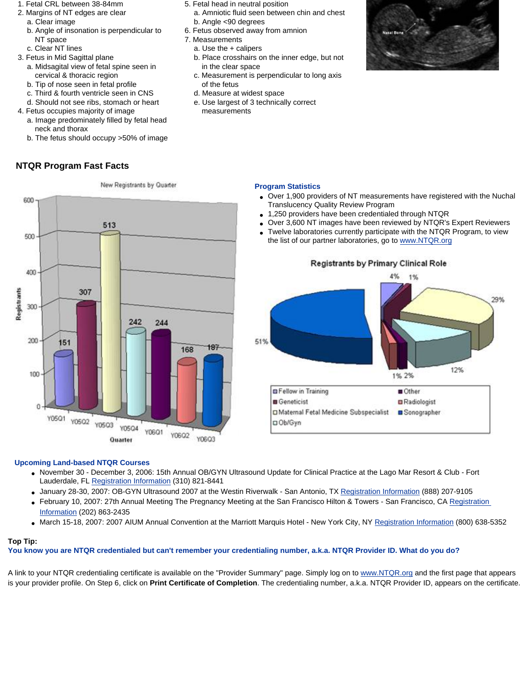- 1. Fetal CRL between 38-84mm
- 2. Margins of NT edges are clear a. Clear image
	- b. Angle of insonation is perpendicular to NT space
	- c. Clear NT lines
- 3. Fetus in Mid Sagittal plane
	- a. Midsagital view of fetal spine seen in cervical & thoracic region
	- b. Tip of nose seen in fetal profile
	- c. Third & fourth ventricle seen in CNS
	- d. Should not see ribs, stomach or heart
- 4. Fetus occupies majority of image a. Image predominately filled by fetal head neck and thorax
	- b. The fetus should occupy >50% of image

# **NTQR Program Fast Facts**

- 5. Fetal head in neutral position
	- a. Amniotic fluid seen between chin and chest b. Angle <90 degrees
- 6. Fetus observed away from amnion
- 7. Measurements
- a. Use the + calipers
- b. Place crosshairs on the inner edge, but not in the clear space
- c. Measurement is perpendicular to long axis of the fetus
- d. Measure at widest space
- e. Use largest of 3 technically correct measurements



# **Program Statistics**

- Over 1,900 providers of NT measurements have registered with the Nuchal Translucency Quality Review Program
- 1,250 providers have been credentialed through NTQR
- Over 3,600 NT images have been reviewed by NTQR's Expert Reviewers
- Twelve laboratories currently participate with the NTQR Program, to view the list of our partner laboratories, go to [www.NTQR.org](http://www.ntqr.org/)



New Registrants by Quarter

# **Registrants by Primary Clinical Role**



# **Upcoming Land-based NTQR Courses**

- November 30 December 3, 2006: 15th Annual OB/GYN Ultrasound Update for Clinical Practice at the Lago Mar Resort & Club Fort Lauderdale, FL [Registration Information](http://fmfaus.meetingpro.info/registrants/GoHo06/GoHo06.htm) (310) 821-8441
- January 28-30, 2007: OB-GYN Ultrasound 2007 at the Westin Riverwalk San Antonio, TX [Registration Information](http://worldclasscme.com/sanantonio/index.php) (888) 207-9105
- February 10, 2007: 27th Annual Meeting The Pregnancy Meeting at the San Francisco Hilton & Towers San Francisco, CA [Registration](http://206.18.123.200/index.cfm?zone=calendar&nav=meeting) [Information](http://206.18.123.200/index.cfm?zone=calendar&nav=meeting) (202) 863-2435
- March 15-18, 2007: 2007 AIUM Annual Convention at the Marriott Marquis Hotel New York City, NY [Registration Information](http://www.aium.org/cmeactivities/events/ann2007/intro.asp) (800) 638-5352

## **Top Tip:**

**You know you are NTQR credentialed but can't remember your credentialing number, a.k.a. NTQR Provider ID. What do you do?** 

A link to your NTQR credentialing certificate is available on the "Provider Summary" page. Simply log on to [www.NTQR.org](http://www.ntqr.org/) and the first page that appears is your provider profile. On Step 6, click on **Print Certificate of Completion**. The credentialing number, a.k.a. NTQR Provider ID, appears on the certificate.